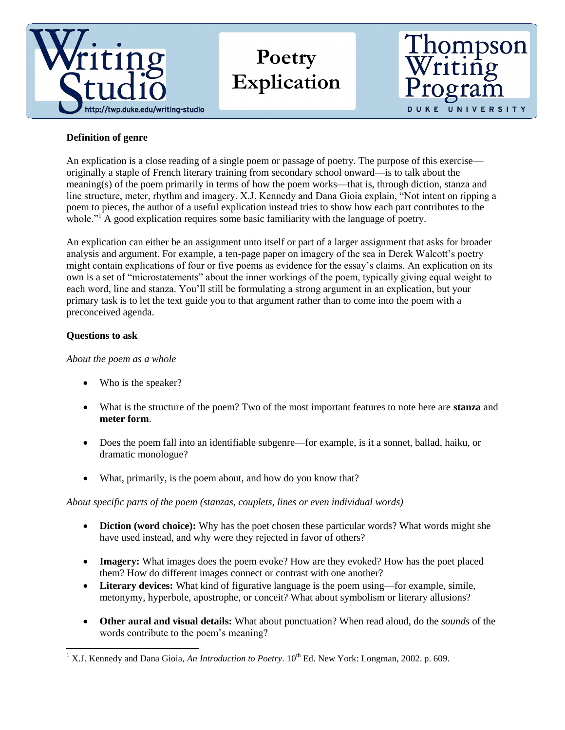

# **Poetry Explication**



## **Definition of genre**

An explication is a close reading of a single poem or passage of poetry. The purpose of this exercise originally a staple of French literary training from secondary school onward—is to talk about the meaning(s) of the poem primarily in terms of how the poem works—that is, through diction, stanza and line structure, meter, rhythm and imagery. X.J. Kennedy and Dana Gioia explain, "Not intent on ripping a poem to pieces, the author of a useful explication instead tries to show how each part contributes to the whole."<sup>1</sup> A good explication requires some basic familiarity with the language of poetry.

An explication can either be an assignment unto itself or part of a larger assignment that asks for broader analysis and argument. For example, a ten-page paper on imagery of the sea in Derek Walcott's poetry might contain explications of four or five poems as evidence for the essay's claims. An explication on its own is a set of "microstatements" about the inner workings of the poem, typically giving equal weight to each word, line and stanza. You'll still be formulating a strong argument in an explication, but your primary task is to let the text guide you to that argument rather than to come into the poem with a preconceived agenda.

## **Questions to ask**

l

### *About the poem as a whole*

- Who is the speaker?
- What is the structure of the poem? Two of the most important features to note here are **stanza** and **meter form**.
- Does the poem fall into an identifiable subgenre—for example, is it a sonnet, ballad, haiku, or dramatic monologue?
- What, primarily, is the poem about, and how do you know that?

## *About specific parts of the poem (stanzas, couplets, lines or even individual words)*

- **Diction (word choice):** Why has the poet chosen these particular words? What words might she have used instead, and why were they rejected in favor of others?
- **Imagery:** What images does the poem evoke? How are they evoked? How has the poet placed them? How do different images connect or contrast with one another?
- **Literary devices:** What kind of figurative language is the poem using—for example, simile, metonymy, hyperbole, apostrophe, or conceit? What about symbolism or literary allusions?
- **Other aural and visual details:** What about punctuation? When read aloud, do the *sounds* of the words contribute to the poem's meaning?

<sup>&</sup>lt;sup>1</sup> X.J. Kennedy and Dana Gioia, *An Introduction to Poetry*.  $10^{th}$  Ed. New York: Longman, 2002. p. 609.